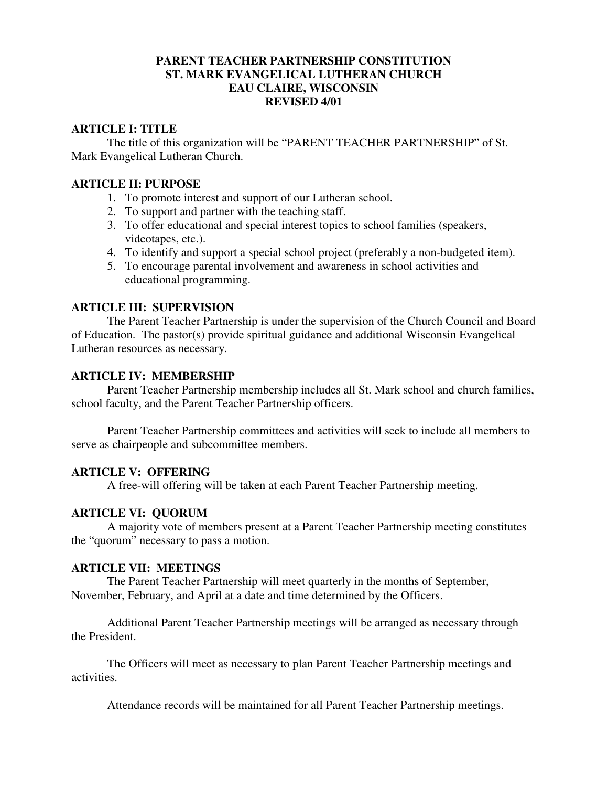### **PARENT TEACHER PARTNERSHIP CONSTITUTION ST. MARK EVANGELICAL LUTHERAN CHURCH EAU CLAIRE, WISCONSIN REVISED 4/01**

### **ARTICLE I: TITLE**

The title of this organization will be "PARENT TEACHER PARTNERSHIP" of St. Mark Evangelical Lutheran Church.

#### **ARTICLE II: PURPOSE**

- 1. To promote interest and support of our Lutheran school.
- 2. To support and partner with the teaching staff.
- 3. To offer educational and special interest topics to school families (speakers, videotapes, etc.).
- 4. To identify and support a special school project (preferably a non-budgeted item).
- 5. To encourage parental involvement and awareness in school activities and educational programming.

### **ARTICLE III: SUPERVISION**

 The Parent Teacher Partnership is under the supervision of the Church Council and Board of Education. The pastor(s) provide spiritual guidance and additional Wisconsin Evangelical Lutheran resources as necessary.

#### **ARTICLE IV: MEMBERSHIP**

 Parent Teacher Partnership membership includes all St. Mark school and church families, school faculty, and the Parent Teacher Partnership officers.

 Parent Teacher Partnership committees and activities will seek to include all members to serve as chairpeople and subcommittee members.

### **ARTICLE V: OFFERING**

A free-will offering will be taken at each Parent Teacher Partnership meeting.

#### **ARTICLE VI: QUORUM**

 A majority vote of members present at a Parent Teacher Partnership meeting constitutes the "quorum" necessary to pass a motion.

#### **ARTICLE VII: MEETINGS**

 The Parent Teacher Partnership will meet quarterly in the months of September, November, February, and April at a date and time determined by the Officers.

 Additional Parent Teacher Partnership meetings will be arranged as necessary through the President.

 The Officers will meet as necessary to plan Parent Teacher Partnership meetings and activities.

Attendance records will be maintained for all Parent Teacher Partnership meetings.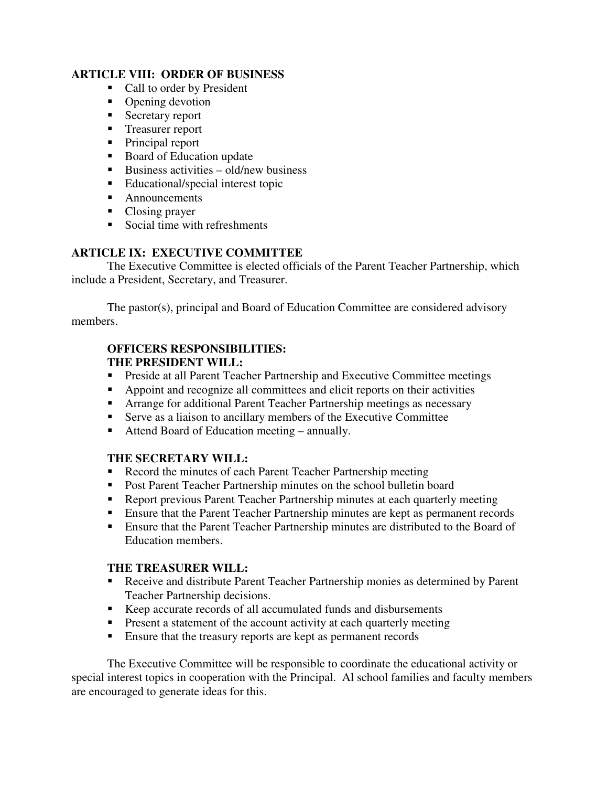## **ARTICLE VIII: ORDER OF BUSINESS**

- Call to order by President
- Opening devotion
- $S<sub>ecc</sub>$  secretary report
- Treasurer report
- Principal report
- Board of Education update
- Business activities old/new business
- Educational/special interest topic
- Announcements
- Closing prayer
- Social time with refreshments

# **ARTICLE IX: EXECUTIVE COMMITTEE**

 The Executive Committee is elected officials of the Parent Teacher Partnership, which include a President, Secretary, and Treasurer.

 The pastor(s), principal and Board of Education Committee are considered advisory members.

## **OFFICERS RESPONSIBILITIES: THE PRESIDENT WILL:**

- **Preside at all Parent Teacher Partnership and Executive Committee meetings**
- Appoint and recognize all committees and elicit reports on their activities
- Arrange for additional Parent Teacher Partnership meetings as necessary
- Serve as a liaison to ancillary members of the Executive Committee
- Attend Board of Education meeting annually.

# **THE SECRETARY WILL:**

- Record the minutes of each Parent Teacher Partnership meeting
- **Post Parent Teacher Partnership minutes on the school bulletin board**
- Report previous Parent Teacher Partnership minutes at each quarterly meeting
- **Ensure that the Parent Teacher Partnership minutes are kept as permanent records**
- Ensure that the Parent Teacher Partnership minutes are distributed to the Board of Education members.

# **THE TREASURER WILL:**

- Receive and distribute Parent Teacher Partnership monies as determined by Parent Teacher Partnership decisions.
- Keep accurate records of all accumulated funds and disbursements
- **Present a statement of the account activity at each quarterly meeting**
- **Ensure that the treasury reports are kept as permanent records**

The Executive Committee will be responsible to coordinate the educational activity or special interest topics in cooperation with the Principal. Al school families and faculty members are encouraged to generate ideas for this.